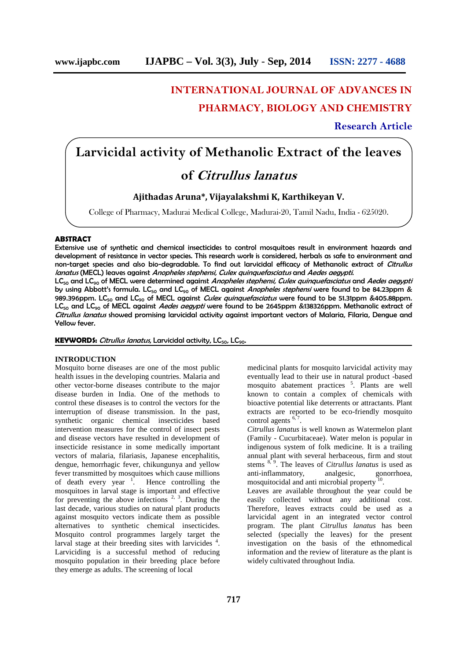## **INTERNATIONAL JOURNAL OF ADVANCES IN**

## **PHARMACY, BIOLOGY AND CHEMISTRY**

## **Research Article**

# **Larvicidal activity of Methanolic Extract of the leaves**

## **of** *Citrullus lanatus*

## **Ajithadas Aruna\*, Vijayalakshmi K, Karthikeyan V.**

College of Pharmacy, Madurai Medical College, Madurai-20, Tamil Nadu, India - 625020.

## **ABSTRACT**

Extensive use of synthetic and chemical insecticides to control mosquitoes result in environment hazards and development of resistance in vector species. This research work is considered, herbals as safe to environment and non-target species and also bio-degradable. To find out larvicidal efficacy of Methanolic extract of *Citrullus lanatus* (MECL) leaves against *Anopheles stephensi, Culex quinquefasciatus* and *Aedes aegypti*.

LC<sup>50</sup> and LC<sup>90</sup> of MECL were determined against *Anopheles stephensi, Culex quinquefasciatus* and *Aedes aegypti* by using Abbott's formula. LC<sub>50</sub> and LC<sub>90</sub> of MECL against *Anopheles stephensi* were found to be 84.23ppm & 989.396ppm. LC<sub>50</sub> and LC<sub>90</sub> of MECL against *Culex quinquefasciatus* were found to be 51.31ppm &405.88ppm. LC<sub>50</sub> and LC<sub>90</sub> of MECL against *Aedes aegypti* were found to be 2645ppm &138326ppm. Methanolic extract of *Citrullus lanatus* showed promising larvicidal activity against important vectors of Malaria, Filaria, Dengue and Yellow fever.

**KEYWORDS:** *Citrullus lanatus*, Larvicidal activity, LC<sub>50</sub>, LC<sub>90</sub>.

## **INTRODUCTION**

Mosquito borne diseases are one of the most public health issues in the developing countries. Malaria and other vector-borne diseases contribute to the major disease burden in India. One of the methods to control these diseases is to control the vectors for the interruption of disease transmission. In the past, synthetic organic chemical insecticides based intervention measures for the control of insect pests and disease vectors have resulted in development of insecticide resistance in some medically important vectors of malaria, filariasis, Japanese encephalitis, dengue, hemorrhagic fever, chikungunya and yellow fever transmitted by mosquitoes which cause millions of death every year  $\frac{1}{1}$ . Hence controlling the mosquitoes in larval stage is important and effective for preventing the above infections  $2, 3$ . During the last decade, various studies on natural plant products against mosquito vectors indicate them as possible alternatives to synthetic chemical insecticides. Mosquito control programmes largely target the larval stage at their breeding sites with larvicides <sup>4</sup>. .Larviciding is a successful method of reducing mosquito population in their breeding place before they emerge as adults. The screening of local

medicinal plants for mosquito larvicidal activity may eventually lead to their use in natural product -based mosquito abatement practices <sup>5</sup>. Plants are well known to contain a complex of chemicals with bioactive potential like deterrents or attractants. Plant extracts are reported to be eco-friendly mosquito control agents  $6,7$ .

*Citrullus lanatus* is well known as Watermelon plant (Family - Cucurbitaceae). Water melon is popular in indigenous system of folk medicine. It is a trailing annual plant with several herbaceous, firm and stout stems <sup>8, 9</sup>. The leaves of *Citrullus lanatus* is used as anti-inflammatory, analgesic, gonorrhoea, mosquitocidal and anti microbial property<sup>10</sup>.

Leaves are available throughout the year could be easily collected without any additional cost. Therefore, leaves extracts could be used as a larvicidal agent in an integrated vector control program. The plant *Citrullus lanatus* has been selected (specially the leaves) for the present investigation on the basis of the ethnomedical information and the review of literature as the plant is widely cultivated throughout India.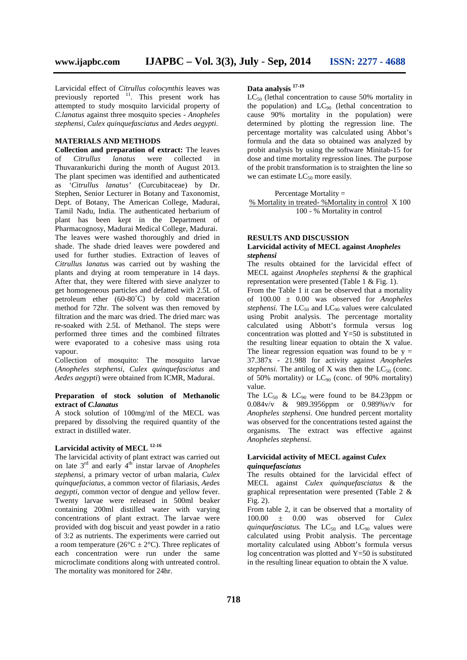Larvicidal effect of *Citrullus colocynthis* leaves was previously reported <sup>11</sup>. This present work has attempted to study mosquito larvicidal property of *C.lanatus* against three mosquito species - *Anopheles stephensi, Culex quinquefasciatus* and *Aedes aegypti*.

## **MATERIALS AND METHODS**

**Collection and preparation of extract:** The leaves of *Citrullus lanatus* were collected in Thuvarankurichi during the month of August 2013. The plant specimen was identified and authenticated as *'Citrullus lanatus'* (Curcubitaceae) by Dr. Stephen, Senior Lecturer in Botany and Taxonomist, Dept. of Botany, The American College, Madurai, Tamil Nadu, India. The authenticated herbarium of plant has been kept in the Department of Pharmacognosy, Madurai Medical College, Madurai. The leaves were washed thoroughly and dried in shade. The shade dried leaves were powdered and used for further studies. Extraction of leaves of *Citrullus lanatu*s was carried out by washing the plants and drying at room temperature in 14 days. After that, they were filtered with sieve analyzer to get homogeneous particles and defatted with 2.5L of petroleum ether (60-80˚C) by cold maceration method for 72hr. The solvent was then removed by filtration and the marc was dried. The dried marc was re-soaked with 2.5L of Methanol. The steps were performed three times and the combined filtrates were evaporated to a cohesive mass using rota vapour.

Collection of mosquito: The mosquito larvae (*Anopheles stephensi, Culex quinquefasciatus* and *Aedes aegypti*) were obtained from ICMR, Madurai.

#### **Preparation of stock solution of Methanolic extract of** *C.lanatus*

A stock solution of 100mg/ml of the MECL was prepared by dissolving the required quantity of the extract in distilled water.

## **Larvicidal activity of MECL 12-16**

The larvicidal activity of plant extract was carried out on late 3rd and early 4th instar larvae of *Anopheles stephensi,* a primary vector of urban malaria, *Culex quinquefaciatus,* a common vector of filariasis, *Aedes aegypti*, common vector of dengue and yellow fever. Twenty larvae were released in 500ml beaker containing 200ml distilled water with varying concentrations of plant extract. The larvae were provided with dog biscuit and yeast powder in a ratio of 3:2 as nutrients. The experiments were carried out a room temperature ( $26^{\circ}$ C  $\pm$  2°C). Three replicates of each concentration were run under the same microclimate conditions along with untreated control. The mortality was monitored for 24hr.

## **Data analysis 17-19**

 $LC_{50}$  (lethal concentration to cause 50% mortality in the population) and  $LC_{90}$  (lethal concentration to cause 90% mortality in the population) were determined by plotting the regression line. The percentage mortality was calculated using Abbot's formula and the data so obtained was analyzed by probit analysis by using the software Minitab-15 for dose and time mortality regression lines. The purpose of the probit transformation is to straighten the line so we can estimate  $LC_{50}$  more easily.

## Percentage Mortality =

% Mortality in treated- %Mortality in control X 100 100 - % Mortality in control

## **RESULTS AND DISCUSSION**

## **Larvicidal activity of MECL against** *Anopheles stephensi*

The results obtained for the larvicidal effect of MECL against *Anopheles stephensi* & the graphical representation were presented (Table 1 & Fig. 1).

From the Table 1 it can be observed that a mortality of 100.00 ± 0.00 was observed for *Anopheles stephensi.* The  $LC_{50}$  and  $LC_{90}$  values were calculated using Probit analysis. The percentage mortality calculated using Abbott's formula versus log concentration was plotted and Y=50 is substituted in the resulting linear equation to obtain the X value. The linear regression equation was found to be  $y =$ 37.387x - 21.988 for activity against *Anopheles stephensi.* The antilog of X was then the  $LC_{50}$  (conc. of 50% mortality) or  $LC_{90}$  (conc. of 90% mortality) value.

The  $LC_{50}$  &  $LC_{90}$  were found to be 84.23ppm or 0.084v/v & 989.3956ppm or 0.989%v/v for *Anopheles stephensi*. One hundred percent mortality was observed for the concentrations tested against the organisms. The extract was effective against *Anopheles stephensi.*

#### **Larvicidal activity of MECL against** *Culex quinquefasciatus*

The results obtained for the larvicidal effect of MECL against *Culex quinquefasciatus* & the graphical representation were presented (Table 2 & Fig. 2).

From table 2, it can be observed that a mortality of 100.00 ± 0.00 was observed for *Culex quinquefasciatus.* The  $LC_{50}$  and  $LC_{90}$  values were calculated using Probit analysis. The percentage mortality calculated using Abbott's formula versus log concentration was plotted and  $Y=50$  is substituted in the resulting linear equation to obtain the X value.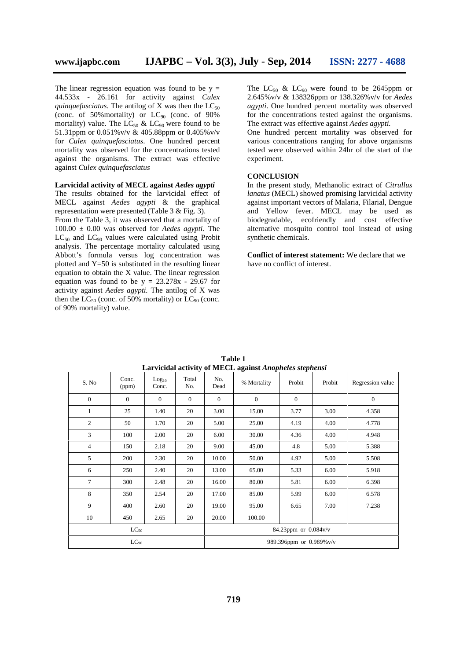The linear regression equation was found to be  $y =$ 44.533x - 26.161 for activity against *Culex quinquefasciatus.* The antilog of X was then the  $LC_{50}$ (conc. of 50%mortality) or  $LC_{90}$  (conc. of 90%) mortality) value. The  $LC_{50}$  &  $LC_{90}$  were found to be 51.31ppm or 0.051%v/v & 405.88ppm or 0.405%v/v for *Culex quinquefasciatus*. One hundred percent mortality was observed for the concentrations tested against the organisms. The extract was effective against *Culex quinquefasciatus*

#### **Larvicidal activity of MECL against** *Aedes agypti*

The results obtained for the larvicidal effect of MECL against *Aedes agypti* & the graphical representation were presented (Table 3 & Fig. 3).

From the Table 3, it was observed that a mortality of 100.00 ± 0.00 was observed for *Aedes agypti.* The  $LC_{50}$  and  $LC_{90}$  values were calculated using Probit analysis. The percentage mortality calculated using Abbott's formula versus log concentration was plotted and  $Y=50$  is substituted in the resulting linear equation to obtain the X value. The linear regression equation was found to be  $y = 23.278x - 29.67$  for activity against *Aedes agypti.* The antilog of X was then the  $LC_{50}$  (conc. of 50% mortality) or  $LC_{90}$  (conc. of 90% mortality) value.

The  $LC_{50}$  &  $LC_{90}$  were found to be 2645ppm or 2.645%v/v & 138326ppm or 138.326%v/v for *Aedes agypti*. One hundred percent mortality was observed for the concentrations tested against the organisms. The extract was effective against *Aedes agypti.*

One hundred percent mortality was observed for various concentrations ranging for above organisms tested were observed within 24hr of the start of the experiment.

## **CONCLUSION**

In the present study, Methanolic extract of *Citrullus lanatus* (MECL) showed promising larvicidal activity against important vectors of Malaria, Filarial, Dengue and Yellow fever. MECL may be used as biodegradable, ecofriendly and cost effective alternative mosquito control tool instead of using synthetic chemicals.

**Conflict of interest statement:** We declare that we have no conflict of interest.

| Log <sub>10</sub><br>Conc.<br>$\overline{0}$ | Total<br>No.<br>$\mathbf{0}$ | No.<br>Dead  | % Mortality              | Probit                 | Probit | Regression value |  |  |  |
|----------------------------------------------|------------------------------|--------------|--------------------------|------------------------|--------|------------------|--|--|--|
|                                              |                              |              |                          |                        |        |                  |  |  |  |
|                                              |                              | $\mathbf{0}$ | $\mathbf{0}$             | $\mathbf{0}$           |        | $\mathbf{0}$     |  |  |  |
| 1.40                                         | 20                           | 3.00         | 15.00                    | 3.77                   | 3.00   | 4.358            |  |  |  |
| 1.70                                         | 20                           | 5.00         | 25.00                    | 4.19                   | 4.00   | 4.778            |  |  |  |
| 2.00                                         | 20                           | 6.00         | 30.00                    | 4.36                   | 4.00   | 4.948            |  |  |  |
| 2.18                                         | 20                           | 9.00         | 45.00                    | 4.8                    | 5.00   | 5.388            |  |  |  |
| 2.30                                         | 20                           | 10.00        | 50.00                    | 4.92                   | 5.00   | 5.508            |  |  |  |
| 2.40                                         | 20                           | 13.00        | 65.00                    | 5.33                   | 6.00   | 5.918            |  |  |  |
| 2.48                                         | 20                           | 16.00        | 80.00                    | 5.81                   | 6.00   | 6.398            |  |  |  |
| 2.54                                         | 20                           | 17.00        | 85.00                    | 5.99                   | 6.00   | 6.578            |  |  |  |
| 2.60                                         | 20                           | 19.00        | 95.00                    | 6.65                   | 7.00   | 7.238            |  |  |  |
| 2.65                                         | 20                           | 20.00        | 100.00                   |                        |        |                  |  |  |  |
| $LC_{50}$                                    |                              |              |                          | 84.23ppm or $0.084v/v$ |        |                  |  |  |  |
| $LC_{90}$                                    |                              |              | 989.396ppm or 0.989% v/v |                        |        |                  |  |  |  |
|                                              |                              |              |                          |                        |        |                  |  |  |  |

**Table 1 Larvicidal activity of MECL against** *Anopheles stephensi*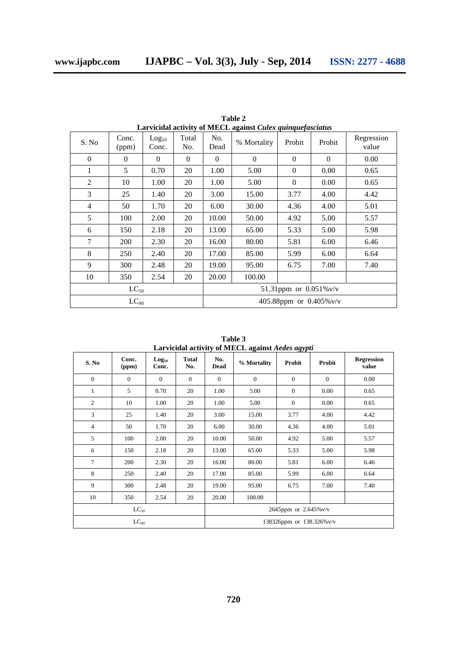| S. No          | Conc.<br>(ppm) | Log <sub>10</sub><br>Conc. | Total<br>No. | No.<br>Dead               | Lai viciual activity of metrol against culex quinque fusculus<br>% Mortality | Probit       | Probit   | Regression<br>value |  |
|----------------|----------------|----------------------------|--------------|---------------------------|------------------------------------------------------------------------------|--------------|----------|---------------------|--|
| $\Omega$       | $\Omega$       | $\Omega$                   | $\Omega$     | $\Omega$                  | $\Omega$                                                                     | $\Omega$     | $\Omega$ | 0.00                |  |
| 1              | 5              | 0.70                       | 20           | 1.00                      | 5.00                                                                         | $\mathbf{0}$ | 0.00     | 0.65                |  |
| $\overline{c}$ | 10             | 1.00                       | 20           | 1.00                      | 5.00                                                                         | $\theta$     | 0.00     | 0.65                |  |
| 3              | 25             | 1.40                       | 20           | 3.00                      | 15.00                                                                        | 3.77         | 4.00     | 4.42                |  |
| 4              | 50             | 1.70                       | 20           | 6.00                      | 30.00                                                                        | 4.36         | 4.00     | 5.01                |  |
| 5              | 100            | 2.00                       | 20           | 10.00                     | 50.00                                                                        | 4.92         | 5.00     | 5.57                |  |
| 6              | 150            | 2.18                       | 20           | 13.00                     | 65.00                                                                        | 5.33         | 5.00     | 5.98                |  |
| 7              | 200            | 2.30                       | 20           | 16.00                     | 80.00                                                                        | 5.81         | 6.00     | 6.46                |  |
| 8              | 250            | 2.40                       | 20           | 17.00                     | 85.00                                                                        | 5.99         | 6.00     | 6.64                |  |
| 9              | 300            | 2.48                       | 20           | 19.00                     | 95.00                                                                        | 6.75         | 7.00     | 7.40                |  |
| 10             | 350            | 2.54                       | 20           | 20.00                     | 100.00                                                                       |              |          |                     |  |
| $LC_{50}$      |                |                            |              | 51.31ppm or $0.051\%$ v/v |                                                                              |              |          |                     |  |
| $LC_{90}$      |                |                            |              | 405.88ppm or 0.405% v/v   |                                                                              |              |          |                     |  |

**Table 2 Larvicidal activity of MECL against** *Culex quinquefasciatus*

**Table 3 Larvicidal activity of MECL against** *Aedes agypti*

| S. No        | Conc.<br>(ppm) | Log <sub>10</sub><br>Conc. | <b>Total</b><br>No. | No.<br>Dead              | % Mortality  | Probit         | Probit         | <b>Regression</b><br>value |  |
|--------------|----------------|----------------------------|---------------------|--------------------------|--------------|----------------|----------------|----------------------------|--|
| $\mathbf{0}$ | $\overline{0}$ | $\mathbf{0}$               | $\boldsymbol{0}$    | $\overline{0}$           | $\mathbf{0}$ | $\mathbf{0}$   | $\overline{0}$ | 0.00                       |  |
| $\mathbf{1}$ | 5              | 0.70                       | 20                  | 1.00                     | 5.00         | $\mathbf{0}$   | 0.00           | 0.65                       |  |
| 2            | 10             | 1.00                       | 20                  | 1.00                     | 5.00         | $\overline{0}$ | 0.00           | 0.65                       |  |
| 3            | 25             | 1.40                       | 20                  | 3.00                     | 15.00        | 3.77           | 4.00           | 4.42                       |  |
| 4            | 50             | 1.70                       | 20                  | 6.00                     | 30.00        | 4.36           | 4.00           | 5.01                       |  |
| 5            | 100            | 2.00                       | 20                  | 10.00                    | 50.00        | 4.92           | 5.00           | 5.57                       |  |
| 6            | 150            | 2.18                       | 20                  | 13.00                    | 65.00        | 5.33           | 5.00           | 5.98                       |  |
| 7            | 200            | 2.30                       | 20                  | 16.00                    | 80.00        | 5.81           | 6.00           | 6.46                       |  |
| 8            | 250            | 2.40                       | 20                  | 17.00                    | 85.00        | 5.99           | 6.00           | 6.64                       |  |
| 9            | 300            | 2.48                       | 20                  | 19.00                    | 95.00        | 6.75           | 7.00           | 7.40                       |  |
| 10           | 350            | 2.54                       | 20                  | 20.00                    | 100.00       |                |                |                            |  |
| $LC_{50}$    |                |                            |                     | 2645ppm or 2.645% v/v    |              |                |                |                            |  |
| $LC_{90}$    |                |                            |                     | 138326ppm or 138.326%v/v |              |                |                |                            |  |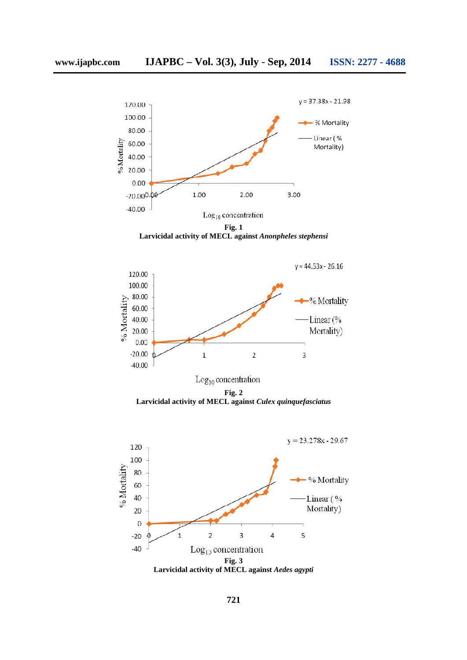

**Fig. 1 Larvicidal activity of MECL against** *Anonpheles stephensi* **against**



**Fig. 2 Larvicidal activity of MECL against** *Culex quinquefasciatus*